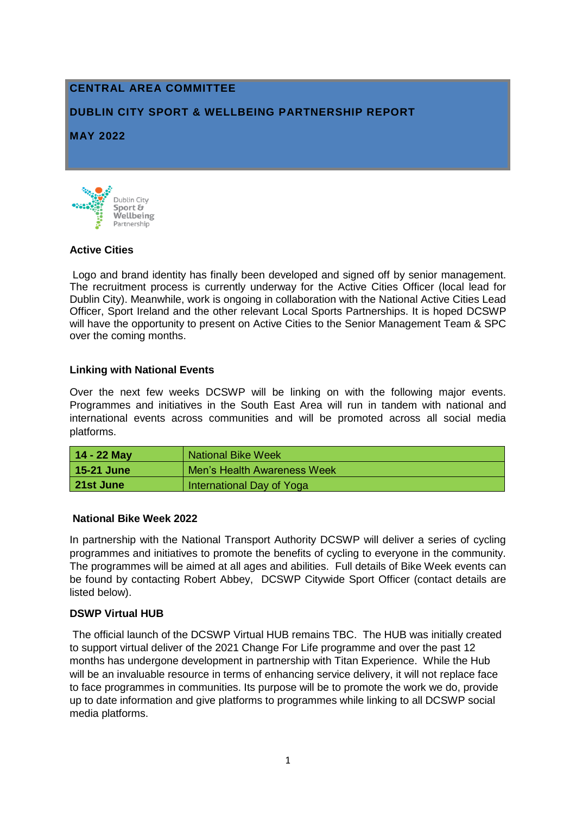# **CENTRAL AREA COMMITTEE**

### **DUBLIN CITY SPORT & WELLBEING PARTNERSHIP REPORT**

#### **MAY 2022**



#### **Active Cities**

Logo and brand identity has finally been developed and signed off by senior management. The recruitment process is currently underway for the Active Cities Officer (local lead for Dublin City). Meanwhile, work is ongoing in collaboration with the National Active Cities Lead Officer, Sport Ireland and the other relevant Local Sports Partnerships. It is hoped DCSWP will have the opportunity to present on Active Cities to the Senior Management Team & SPC over the coming months.

#### **Linking with National Events**

Over the next few weeks DCSWP will be linking on with the following major events. Programmes and initiatives in the South East Area will run in tandem with national and international events across communities and will be promoted across all social media platforms.

| $14 - 22$ May | <b>National Bike Week</b>   |  |
|---------------|-----------------------------|--|
| 15-21 June    | Men's Health Awareness Week |  |
| l 21st June   | International Day of Yoga   |  |

#### **National Bike Week 2022**

In partnership with the National Transport Authority DCSWP will deliver a series of cycling programmes and initiatives to promote the benefits of cycling to everyone in the community. The programmes will be aimed at all ages and abilities. Full details of Bike Week events can be found by contacting Robert Abbey, DCSWP Citywide Sport Officer (contact details are listed below).

#### **DSWP Virtual HUB**

The official launch of the DCSWP Virtual HUB remains TBC. The HUB was initially created to support virtual deliver of the 2021 Change For Life programme and over the past 12 months has undergone development in partnership with Titan Experience. While the Hub will be an invaluable resource in terms of enhancing service delivery, it will not replace face to face programmes in communities. Its purpose will be to promote the work we do, provide up to date information and give platforms to programmes while linking to all DCSWP social media platforms.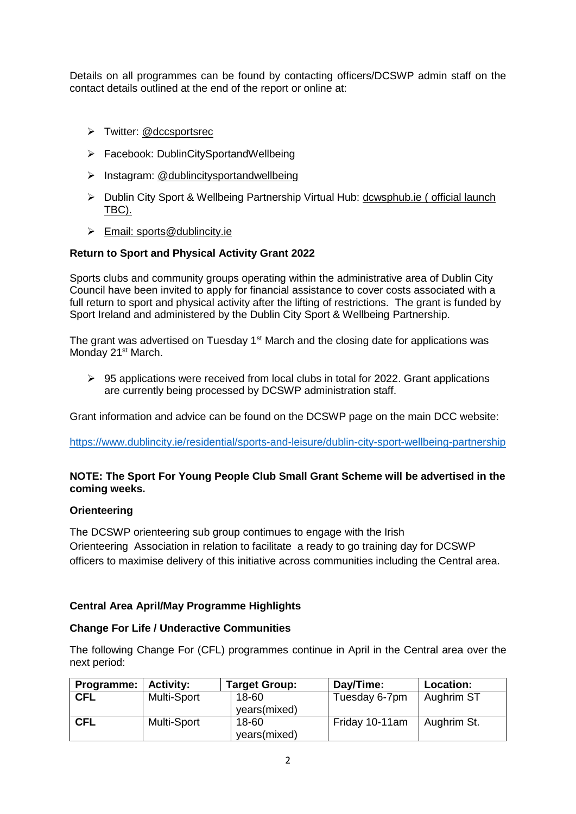Details on all programmes can be found by contacting officers/DCSWP admin staff on the contact details outlined at the end of the report or online at:

- > Twitter: @dccsportsrec
- Facebook: DublinCitySportandWellbeing
- $\triangleright$  Instagram: @dublincitysportandwellbeing
- Dublin City Sport & Wellbeing Partnership Virtual Hub: [dcwsphub.ie](http://www.dcswphub.ie/) ( official launch TBC).
- Email: [sports@dublincity.ie](file://///dccdata/cande/Shared/EandC/Sport%20&%20Wellbeing%20Partnership/Communications/Area%20Committee%20Reports/Reporting%202022/South%20East%20Area/sports@dublincity.ie)

#### **Return to Sport and Physical Activity Grant 2022**

Sports clubs and community groups operating within the administrative area of Dublin City Council have been invited to apply for financial assistance to cover costs associated with a full return to sport and physical activity after the lifting of restrictions. The grant is funded by Sport Ireland and administered by the Dublin City Sport & Wellbeing Partnership.

The grant was advertised on Tuesday 1<sup>st</sup> March and the closing date for applications was Monday 21<sup>st</sup> March.

 $\geq$  95 applications were received from local clubs in total for 2022. Grant applications are currently being processed by DCSWP administration staff.

Grant information and advice can be found on the DCSWP page on the main DCC website:

<https://www.dublincity.ie/residential/sports-and-leisure/dublin-city-sport-wellbeing-partnership>

#### **NOTE: The Sport For Young People Club Small Grant Scheme will be advertised in the coming weeks.**

#### **Orienteering**

The DCSWP orienteering sub group contimues to engage with the Irish Orienteering Association in relation to facilitate a ready to go training day for DCSWP officers to maximise delivery of this initiative across communities including the Central area.

#### **Central Area April/May Programme Highlights**

#### **Change For Life / Underactive Communities**

The following Change For (CFL) programmes continue in April in the Central area over the next period:

| Programme: | <b>Activity:</b> | <b>Target Group:</b> | Day/Time:      | Location:   |
|------------|------------------|----------------------|----------------|-------------|
| <b>CFL</b> | Multi-Sport      | 18-60                | Tuesday 6-7pm  | Aughrim ST  |
|            |                  | years(mixed)         |                |             |
| <b>CFL</b> | Multi-Sport      | 18-60                | Friday 10-11am | Aughrim St. |
|            |                  | years(mixed)         |                |             |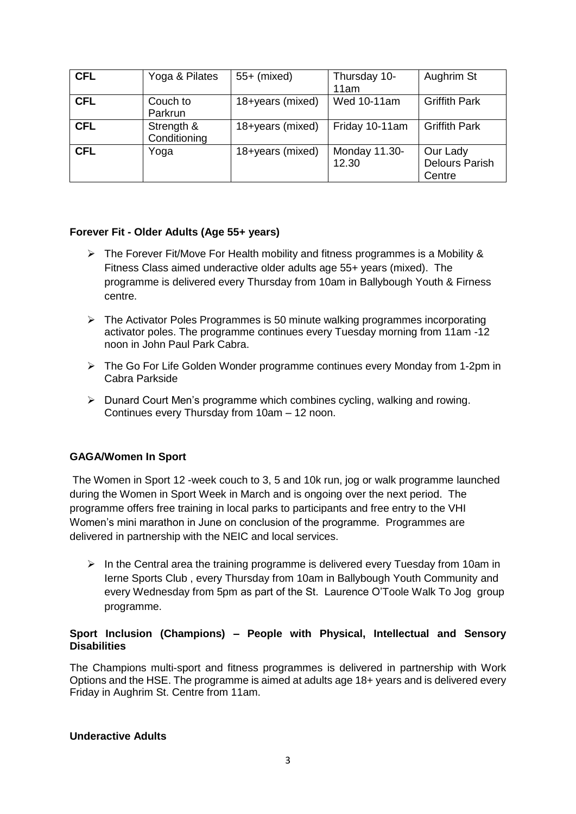| <b>CFL</b> | Yoga & Pilates             | $55+$ (mixed)    | Thursday 10-<br>11am   | Aughrim St                                  |
|------------|----------------------------|------------------|------------------------|---------------------------------------------|
| <b>CFL</b> | Couch to<br>Parkrun        | 18+years (mixed) | Wed 10-11am            | <b>Griffith Park</b>                        |
| <b>CFL</b> | Strength &<br>Conditioning | 18+years (mixed) | Friday 10-11am         | <b>Griffith Park</b>                        |
| <b>CFL</b> | Yoga                       | 18+years (mixed) | Monday 11.30-<br>12.30 | Our Lady<br><b>Delours Parish</b><br>Centre |

#### **Forever Fit - Older Adults (Age 55+ years)**

- $\triangleright$  The Forever Fit/Move For Health mobility and fitness programmes is a Mobility & Fitness Class aimed underactive older adults age 55+ years (mixed). The programme is delivered every Thursday from 10am in Ballybough Youth & Firness centre.
- $\triangleright$  The Activator Poles Programmes is 50 minute walking programmes incorporating activator poles. The programme continues every Tuesday morning from 11am -12 noon in John Paul Park Cabra.
- The Go For Life Golden Wonder programme continues every Monday from 1-2pm in Cabra Parkside
- $\triangleright$  Dunard Court Men's programme which combines cycling, walking and rowing. Continues every Thursday from 10am – 12 noon.

#### **GAGA/Women In Sport**

The Women in Sport 12 -week couch to 3, 5 and 10k run, jog or walk programme launched during the Women in Sport Week in March and is ongoing over the next period. The programme offers free training in local parks to participants and free entry to the VHI Women's mini marathon in June on conclusion of the programme. Programmes are delivered in partnership with the NEIC and local services.

 $\triangleright$  In the Central area the training programme is delivered every Tuesday from 10am in Ierne Sports Club , every Thursday from 10am in Ballybough Youth Community and every Wednesday from 5pm as part of the St. Laurence O'Toole Walk To Jog group programme.

#### **Sport Inclusion (Champions) – People with Physical, Intellectual and Sensory Disabilities**

The Champions multi-sport and fitness programmes is delivered in partnership with Work Options and the HSE. The programme is aimed at adults age 18+ years and is delivered every Friday in Aughrim St. Centre from 11am.

#### **Underactive Adults**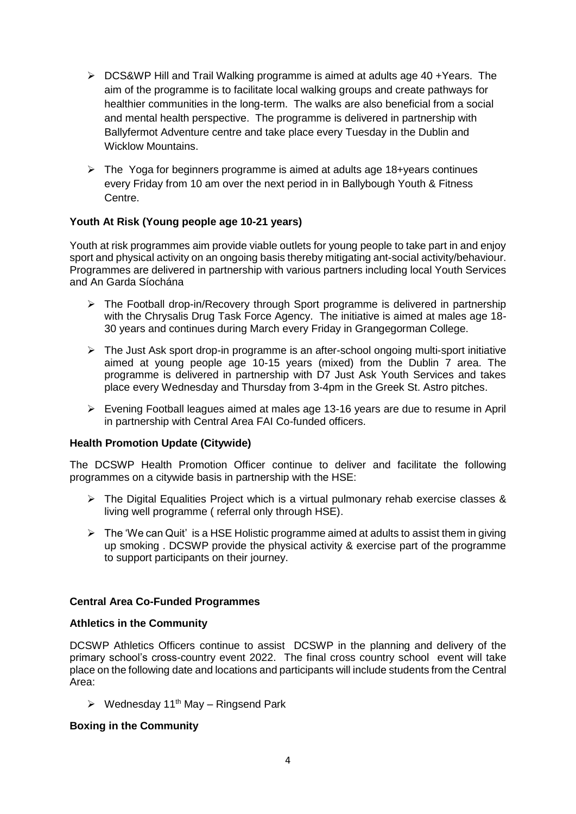- $\triangleright$  DCS&WP Hill and Trail Walking programme is aimed at adults age 40 + Years. The aim of the programme is to facilitate local walking groups and create pathways for healthier communities in the long-term. The walks are also beneficial from a social and mental health perspective. The programme is delivered in partnership with Ballyfermot Adventure centre and take place every Tuesday in the Dublin and Wicklow Mountains.
- $\triangleright$  The Yoga for beginners programme is aimed at adults age 18+years continues every Friday from 10 am over the next period in in Ballybough Youth & Fitness Centre.

#### **Youth At Risk (Young people age 10-21 years)**

Youth at risk programmes aim provide viable outlets for young people to take part in and enjoy sport and physical activity on an ongoing basis thereby mitigating ant-social activity/behaviour. Programmes are delivered in partnership with various partners including local Youth Services and An Garda Síochána

- $\triangleright$  The Football drop-in/Recovery through Sport programme is delivered in partnership with the Chrysalis Drug Task Force Agency. The initiative is aimed at males age 18- 30 years and continues during March every Friday in Grangegorman College.
- $\triangleright$  The Just Ask sport drop-in programme is an after-school ongoing multi-sport initiative aimed at young people age 10-15 years (mixed) from the Dublin 7 area. The programme is delivered in partnership with D7 Just Ask Youth Services and takes place every Wednesday and Thursday from 3-4pm in the Greek St. Astro pitches.
- Evening Football leagues aimed at males age 13-16 years are due to resume in April in partnership with Central Area FAI Co-funded officers.

#### **Health Promotion Update (Citywide)**

The DCSWP Health Promotion Officer continue to deliver and facilitate the following programmes on a citywide basis in partnership with the HSE:

- $\triangleright$  The Digital Equalities Project which is a virtual pulmonary rehab exercise classes & living well programme ( referral only through HSE).
- $\triangleright$  The 'We can Quit' is a HSE Holistic programme aimed at adults to assist them in giving up smoking . DCSWP provide the physical activity & exercise part of the programme to support participants on their journey.

#### **Central Area Co-Funded Programmes**

#### **Athletics in the Community**

DCSWP Athletics Officers continue to assist DCSWP in the planning and delivery of the primary school's cross-country event 2022. The final cross country school event will take place on the following date and locations and participants will include students from the Central Area:

 $\triangleright$  Wednesday 11<sup>th</sup> May – Ringsend Park

#### **Boxing in the Community**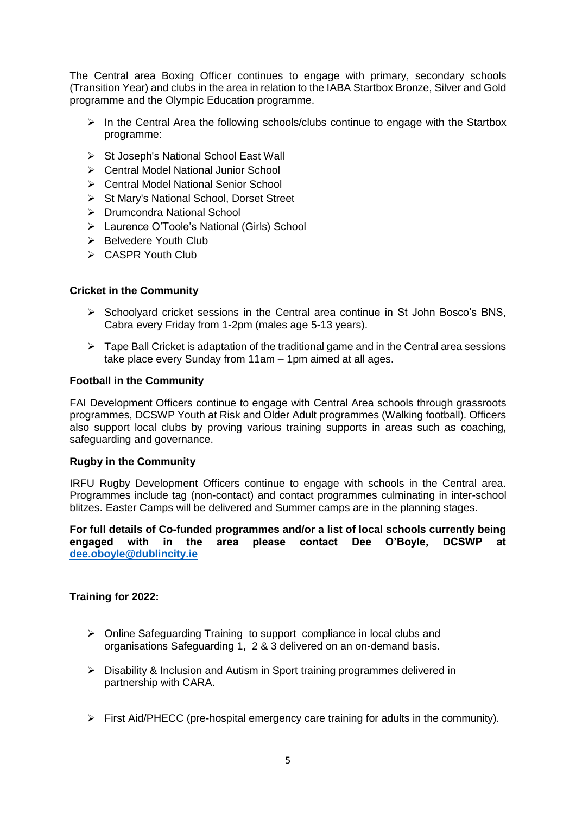The Central area Boxing Officer continues to engage with primary, secondary schools (Transition Year) and clubs in the area in relation to the IABA Startbox Bronze, Silver and Gold programme and the Olympic Education programme.

- $\triangleright$  In the Central Area the following schools/clubs continue to engage with the Startbox programme:
- $\triangleright$  St Joseph's National School East Wall
- Central Model National Junior School
- ▶ Central Model National Senior School
- ▶ St Mary's National School, Dorset Street
- Drumcondra National School
- Laurence O'Toole's National (Girls) School
- $\triangleright$  Belvedere Youth Club
- CASPR Youth Club

#### **Cricket in the Community**

- $\triangleright$  Schoolvard cricket sessions in the Central area continue in St John Bosco's BNS, Cabra every Friday from 1-2pm (males age 5-13 years).
- $\triangleright$  Tape Ball Cricket is adaptation of the traditional game and in the Central area sessions take place every Sunday from 11am – 1pm aimed at all ages.

#### **Football in the Community**

FAI Development Officers continue to engage with Central Area schools through grassroots programmes, DCSWP Youth at Risk and Older Adult programmes (Walking football). Officers also support local clubs by proving various training supports in areas such as coaching, safeguarding and governance.

#### **Rugby in the Community**

IRFU Rugby Development Officers continue to engage with schools in the Central area. Programmes include tag (non-contact) and contact programmes culminating in inter-school blitzes. Easter Camps will be delivered and Summer camps are in the planning stages.

**For full details of Co-funded programmes and/or a list of local schools currently being engaged with in the area please contact Dee O'Boyle, DCSWP at [dee.oboyle@dublincity.ie](mailto:dee.oboyle@dublincity.ie)**

#### **Training for 2022:**

- ▶ Online Safeguarding Training to support compliance in local clubs and organisations Safeguarding 1, 2 & 3 delivered on an on-demand basis.
- Disability & Inclusion and Autism in Sport training programmes delivered in partnership with CARA.
- $\triangleright$  First Aid/PHECC (pre-hospital emergency care training for adults in the community).